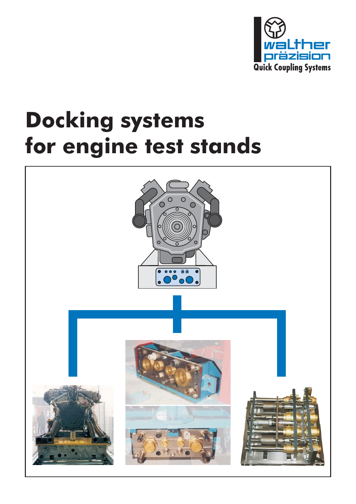

## **Docking systems for engine test stands**